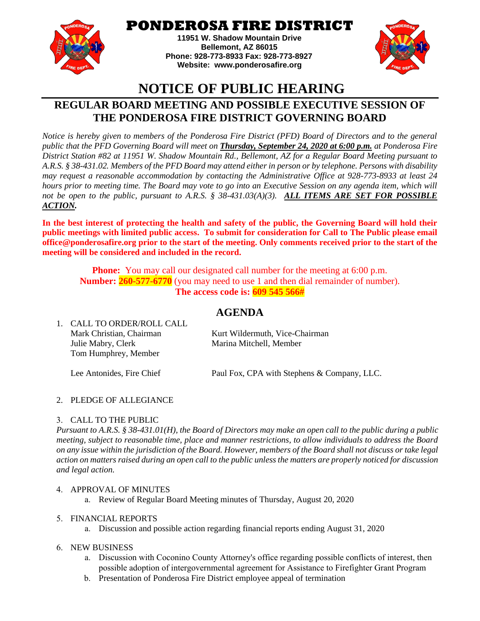

## **PONDEROSA FIRE DISTRICT**

**11951 W. Shadow Mountain Drive Bellemont, AZ 86015 Phone: 928-773-8933 Fax: 928-773-8927 Website: [www.ponderosafire.org](http://www.ponderosafire.org/)**



# **NOTICE OF PUBLIC HEARING**

## **REGULAR BOARD MEETING AND POSSIBLE EXECUTIVE SESSION OF THE PONDEROSA FIRE DISTRICT GOVERNING BOARD**

*Notice is hereby given to members of the Ponderosa Fire District (PFD) Board of Directors and to the general public that the PFD Governing Board will meet on Thursday, September 24, 2020 at 6:00 p.m. at Ponderosa Fire District Station #82 at 11951 W. Shadow Mountain Rd., Bellemont, AZ for a Regular Board Meeting pursuant to A.R.S. § 38-431.02. Members of the PFD Board may attend either in person or by telephone. Persons with disability may request a reasonable accommodation by contacting the Administrative Office at 928-773-8933 at least 24 hours prior to meeting time. The Board may vote to go into an Executive Session on any agenda item, which will not be open to the public, pursuant to A.R.S. § 38-431.03(A)(3). ALL ITEMS ARE SET FOR POSSIBLE ACTION.*

**In the best interest of protecting the health and safety of the public, the Governing Board will hold their public meetings with limited public access. To submit for consideration for Call to The Public please email office@ponderosafire.org prior to the start of the meeting. Only comments received prior to the start of the meeting will be considered and included in the record.**

**Phone:** You may call our designated call number for the meeting at 6:00 p.m. **Number: 260-577-6770** (you may need to use 1 and then dial remainder of number). **The access code is: 609 545 566#**

### **AGENDA**

| I. – CALL TO ONDEN NOLL CALL |                                             |
|------------------------------|---------------------------------------------|
| Mark Christian, Chairman     | Kurt Wildermuth, Vice-Chairman              |
| Julie Mabry, Clerk           | Marina Mitchell, Member                     |
| Tom Humphrey, Member         |                                             |
| Lee Antonides, Fire Chief    | Paul Fox, CPA with Stephens & Company, LLC. |
|                              |                                             |

#### 2. PLEDGE OF ALLEGIANCE

1. CALL TO ORDER/ROLL CALL

#### 3. CALL TO THE PUBLIC

*Pursuant to A.R.S. § 38-431.01(H), the Board of Directors may make an open call to the public during a public meeting, subject to reasonable time, place and manner restrictions, to allow individuals to address the Board on any issue within the jurisdiction of the Board. However, members of the Board shall not discuss or take legal action on matters raised during an open call to the public unless the matters are properly noticed for discussion and legal action.*

#### 4. APPROVAL OF MINUTES

a. Review of Regular Board Meeting minutes of Thursday, August 20, 2020

#### 5. FINANCIAL REPORTS

a. Discussion and possible action regarding financial reports ending August 31, 2020

#### 6. NEW BUSINESS

- a. Discussion with Coconino County Attorney's office regarding possible conflicts of interest, then possible adoption of intergovernmental agreement for Assistance to Firefighter Grant Program
- b. Presentation of Ponderosa Fire District employee appeal of termination